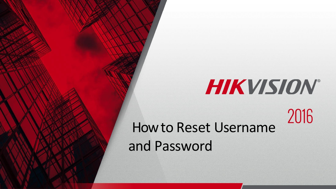# HIKVISION®

2016

How to Reset Username and Password

© 2015HikvisionUSA Inc. All Rights Reserved. Confidential and Proprietary.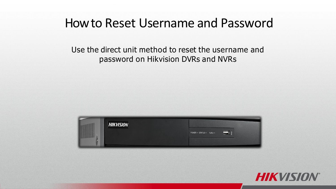#### Use the direct unit method to reset the username and password on Hikvision DVRs and NVRs



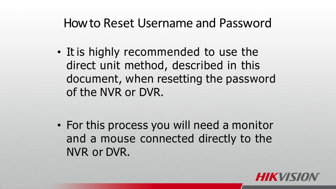• It is highly recommended to use the direct unit method, described in this document, when resetting the password of the NVR or DVR.

• For this process you will need a monitor and a mouse connected directly to the NVR or DVR.

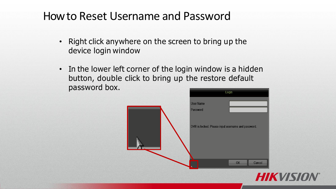- Right click anywhere on the screen to bring up the device login window
- In the lower left corner of the login window is a hidden button, double click to bring up the restore default password box.

|                                                    | Login        |  |
|----------------------------------------------------|--------------|--|
| <b>User Name</b>                                   |              |  |
| Password                                           |              |  |
|                                                    |              |  |
| DVR is locked. Please input username and password. |              |  |
|                                                    |              |  |
|                                                    |              |  |
|                                                    | OK<br>Cancel |  |
|                                                    |              |  |

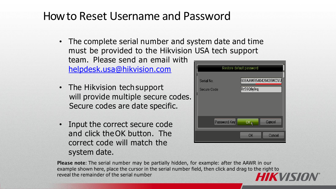- The complete serial number and system date and time must be provided to the Hikvision USA tech support team. Please send an email with [helpdesk.usa@hikvision.com](mailto:helpdesk.usa@hikvision.com)
- The Hikvision tech support will provide multiple secure codes. Secure codes are date specific.
- Input the correct secure code and click the OK button. The correct code will match the system date.

| Restore default password         |                                    |  |
|----------------------------------|------------------------------------|--|
| Serial No.<br><b>Secure Code</b> | 908AAWR540429428WCVU<br>RrS9Q9y9rq |  |
| Password Key                     | Cancel<br>OK <sub>k</sub>          |  |
|                                  | Cancel<br>OK                       |  |

**Please note**: The serial number may be partially hidden, for example: after the AAWR in our example shown here, place the cursor in the serial number field, then click and drag to the right to reveal the remainder of the serial numberIKM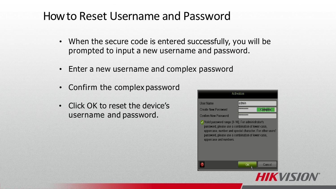- When the secure code is entered successfully, you will be prompted to input a new username and password.
- Enter a new username and complex password
- Confirm the complex password
- Click OK to reset the device's username and password.